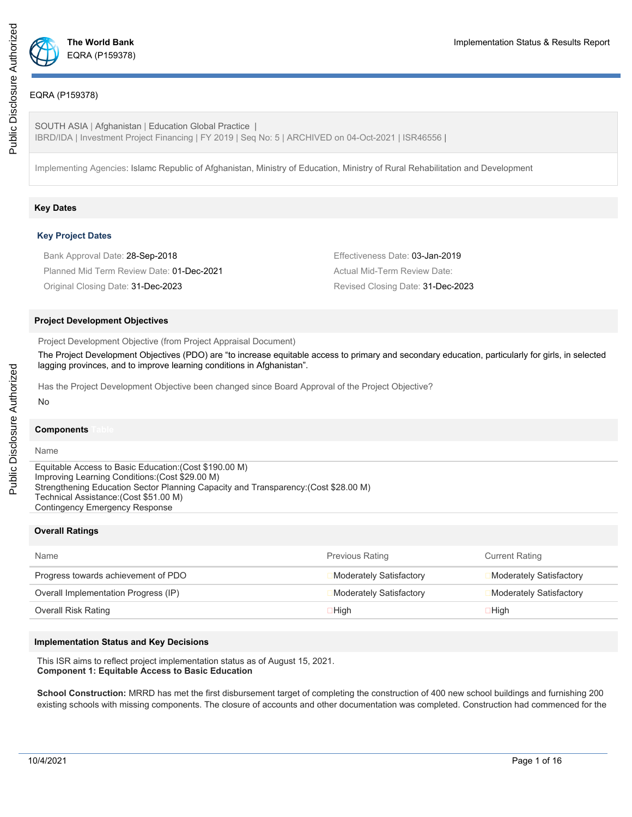

## EQRA (P159378)

SOUTH ASIA | Afghanistan | Education Global Practice | IBRD/IDA | Investment Project Financing | FY 2019 | Seq No: 5 | ARCHIVED on 04-Oct-2021 | ISR46556 |

Implementing Agencies: Islamc Republic of Afghanistan, Ministry of Education, Ministry of Rural Rehabilitation and Development

### **Key Dates**

#### **Key Project Dates**

| Bank Approval Date: 28-Sep-2018           | Effectiveness Date: 03-Jan-2019   |
|-------------------------------------------|-----------------------------------|
| Planned Mid Term Review Date: 01-Dec-2021 | Actual Mid-Term Review Date:      |
| Original Closing Date: 31-Dec-2023        | Revised Closing Date: 31-Dec-2023 |

#### **Project Development Objectives**

Project Development Objective (from Project Appraisal Document)

The Project Development Objectives (PDO) are "to increase equitable access to primary and secondary education, particularly for girls, in selected lagging provinces, and to improve learning conditions in Afghanistan".

Has the Project Development Objective been changed since Board Approval of the Project Objective?

#### **Components**

Name

No

Equitable Access to Basic Education:(Cost \$190.00 M) Improving Learning Conditions:(Cost \$29.00 M) Strengthening Education Sector Planning Capacity and Transparency:(Cost \$28.00 M) Technical Assistance:(Cost \$51.00 M) Contingency Emergency Response

## **Overall Ratings**

| Name                                 | <b>Previous Rating</b>  | <b>Current Rating</b>   |
|--------------------------------------|-------------------------|-------------------------|
| Progress towards achievement of PDO  | Moderately Satisfactory | Moderately Satisfactory |
| Overall Implementation Progress (IP) | Moderately Satisfactory | Moderately Satisfactory |
| Overall Risk Rating                  | 1 High                  | 1 High                  |

#### **Implementation Status and Key Decisions**

This ISR aims to reflect project implementation status as of August 15, 2021. **Component 1: Equitable Access to Basic Education**

**School Construction:** MRRD has met the first disbursement target of completing the construction of 400 new school buildings and furnishing 200 existing schools with missing components. The closure of accounts and other documentation was completed. Construction had commenced for the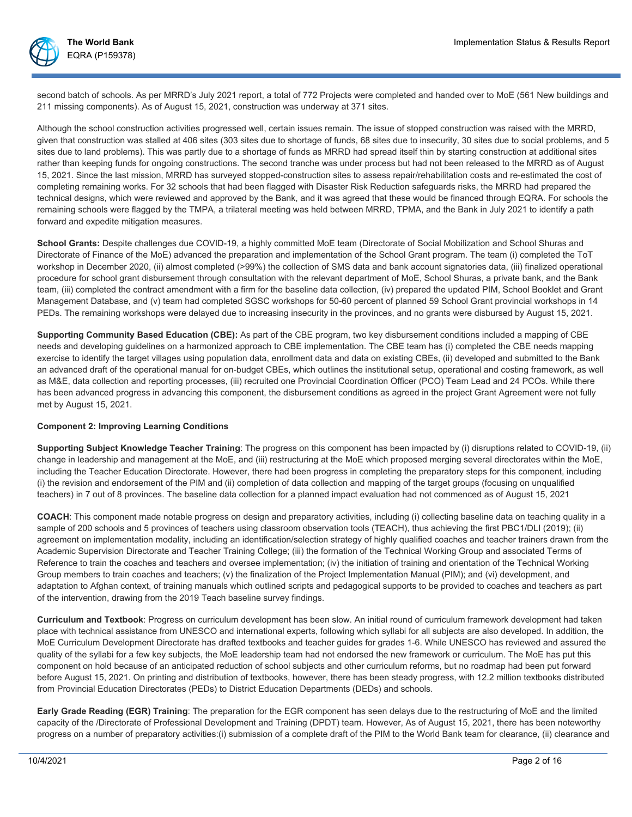

second batch of schools. As per MRRD's July 2021 report, a total of 772 Projects were completed and handed over to MoE (561 New buildings and 211 missing components). As of August 15, 2021, construction was underway at 371 sites.

Although the school construction activities progressed well, certain issues remain. The issue of stopped construction was raised with the MRRD, given that construction was stalled at 406 sites (303 sites due to shortage of funds, 68 sites due to insecurity, 30 sites due to social problems, and 5 sites due to land problems). This was partly due to a shortage of funds as MRRD had spread itself thin by starting construction at additional sites rather than keeping funds for ongoing constructions. The second tranche was under process but had not been released to the MRRD as of August 15, 2021. Since the last mission, MRRD has surveyed stopped-construction sites to assess repair/rehabilitation costs and re-estimated the cost of completing remaining works. For 32 schools that had been flagged with Disaster Risk Reduction safeguards risks, the MRRD had prepared the technical designs, which were reviewed and approved by the Bank, and it was agreed that these would be financed through EQRA. For schools the remaining schools were flagged by the TMPA, a trilateral meeting was held between MRRD, TPMA, and the Bank in July 2021 to identify a path forward and expedite mitigation measures.

**School Grants:** Despite challenges due COVID-19, a highly committed MoE team (Directorate of Social Mobilization and School Shuras and Directorate of Finance of the MoE) advanced the preparation and implementation of the School Grant program. The team (i) completed the ToT workshop in December 2020, (ii) almost completed (>99%) the collection of SMS data and bank account signatories data, (iii) finalized operational procedure for school grant disbursement through consultation with the relevant department of MoE, School Shuras, a private bank, and the Bank team, (iii) completed the contract amendment with a firm for the baseline data collection, (iv) prepared the updated PIM, School Booklet and Grant Management Database, and (v) team had completed SGSC workshops for 50-60 percent of planned 59 School Grant provincial workshops in 14 PEDs. The remaining workshops were delayed due to increasing insecurity in the provinces, and no grants were disbursed by August 15, 2021.

**Supporting Community Based Education (CBE):** As part of the CBE program, two key disbursement conditions included a mapping of CBE needs and developing guidelines on a harmonized approach to CBE implementation. The CBE team has (i) completed the CBE needs mapping exercise to identify the target villages using population data, enrollment data and data on existing CBEs, (ii) developed and submitted to the Bank an advanced draft of the operational manual for on-budget CBEs, which outlines the institutional setup, operational and costing framework, as well as M&E, data collection and reporting processes, (iii) recruited one Provincial Coordination Officer (PCO) Team Lead and 24 PCOs. While there has been advanced progress in advancing this component, the disbursement conditions as agreed in the project Grant Agreement were not fully met by August 15, 2021.

## **Component 2: Improving Learning Conditions**

**Supporting Subject Knowledge Teacher Training**: The progress on this component has been impacted by (i) disruptions related to COVID-19, (ii) change in leadership and management at the MoE, and (iii) restructuring at the MoE which proposed merging several directorates within the MoE, including the Teacher Education Directorate. However, there had been progress in completing the preparatory steps for this component, including (i) the revision and endorsement of the PIM and (ii) completion of data collection and mapping of the target groups (focusing on unqualified teachers) in 7 out of 8 provinces. The baseline data collection for a planned impact evaluation had not commenced as of August 15, 2021

**COACH**: This component made notable progress on design and preparatory activities, including (i) collecting baseline data on teaching quality in a sample of 200 schools and 5 provinces of teachers using classroom observation tools (TEACH), thus achieving the first PBC1/DLI (2019); (ii) agreement on implementation modality, including an identification/selection strategy of highly qualified coaches and teacher trainers drawn from the Academic Supervision Directorate and Teacher Training College; (iii) the formation of the Technical Working Group and associated Terms of Reference to train the coaches and teachers and oversee implementation; (iv) the initiation of training and orientation of the Technical Working Group members to train coaches and teachers; (v) the finalization of the Project Implementation Manual (PIM); and (vi) development, and adaptation to Afghan context, of training manuals which outlined scripts and pedagogical supports to be provided to coaches and teachers as part of the intervention, drawing from the 2019 Teach baseline survey findings.

**Curriculum and Textbook**: Progress on curriculum development has been slow. An initial round of curriculum framework development had taken place with technical assistance from UNESCO and international experts, following which syllabi for all subjects are also developed. In addition, the MoE Curriculum Development Directorate has drafted textbooks and teacher guides for grades 1-6. While UNESCO has reviewed and assured the quality of the syllabi for a few key subjects, the MoE leadership team had not endorsed the new framework or curriculum. The MoE has put this component on hold because of an anticipated reduction of school subjects and other curriculum reforms, but no roadmap had been put forward before August 15, 2021. On printing and distribution of textbooks, however, there has been steady progress, with 12.2 million textbooks distributed from Provincial Education Directorates (PEDs) to District Education Departments (DEDs) and schools.

**Early Grade Reading (EGR) Training**: The preparation for the EGR component has seen delays due to the restructuring of MoE and the limited capacity of the /Directorate of Professional Development and Training (DPDT) team. However, As of August 15, 2021, there has been noteworthy progress on a number of preparatory activities:(i) submission of a complete draft of the PIM to the World Bank team for clearance, (ii) clearance and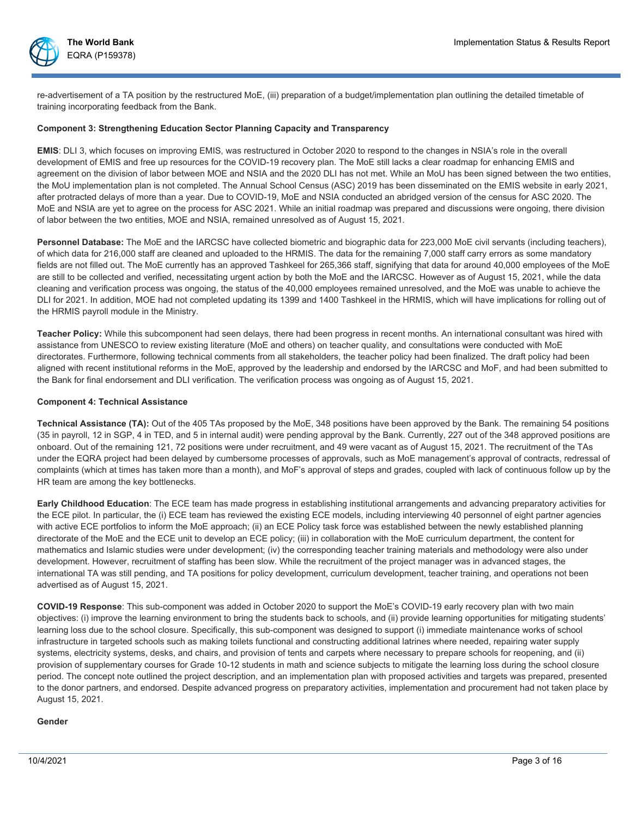

re-advertisement of a TA position by the restructured MoE, (iii) preparation of a budget/implementation plan outlining the detailed timetable of training incorporating feedback from the Bank.

#### **Component 3: Strengthening Education Sector Planning Capacity and Transparency**

**EMIS**: DLI 3, which focuses on improving EMIS, was restructured in October 2020 to respond to the changes in NSIA's role in the overall development of EMIS and free up resources for the COVID-19 recovery plan. The MoE still lacks a clear roadmap for enhancing EMIS and agreement on the division of labor between MOE and NSIA and the 2020 DLI has not met. While an MoU has been signed between the two entities, the MoU implementation plan is not completed. The Annual School Census (ASC) 2019 has been disseminated on the EMIS website in early 2021, after protracted delays of more than a year. Due to COVID-19, MoE and NSIA conducted an abridged version of the census for ASC 2020. The MoE and NSIA are yet to agree on the process for ASC 2021. While an initial roadmap was prepared and discussions were ongoing, there division of labor between the two entities, MOE and NSIA, remained unresolved as of August 15, 2021.

**Personnel Database:** The MoE and the IARCSC have collected biometric and biographic data for 223,000 MoE civil servants (including teachers), of which data for 216,000 staff are cleaned and uploaded to the HRMIS. The data for the remaining 7,000 staff carry errors as some mandatory fields are not filled out. The MoE currently has an approved Tashkeel for 265,366 staff, signifying that data for around 40,000 employees of the MoE are still to be collected and verified, necessitating urgent action by both the MoE and the IARCSC. However as of August 15, 2021, while the data cleaning and verification process was ongoing, the status of the 40,000 employees remained unresolved, and the MoE was unable to achieve the DLI for 2021. In addition, MOE had not completed updating its 1399 and 1400 Tashkeel in the HRMIS, which will have implications for rolling out of the HRMIS payroll module in the Ministry.

**Teacher Policy:** While this subcomponent had seen delays, there had been progress in recent months. An international consultant was hired with assistance from UNESCO to review existing literature (MoE and others) on teacher quality, and consultations were conducted with MoE directorates. Furthermore, following technical comments from all stakeholders, the teacher policy had been finalized. The draft policy had been aligned with recent institutional reforms in the MoE, approved by the leadership and endorsed by the IARCSC and MoF, and had been submitted to the Bank for final endorsement and DLI verification. The verification process was ongoing as of August 15, 2021.

#### **Component 4: Technical Assistance**

**Technical Assistance (TA):** Out of the 405 TAs proposed by the MoE, 348 positions have been approved by the Bank. The remaining 54 positions (35 in payroll, 12 in SGP, 4 in TED, and 5 in internal audit) were pending approval by the Bank. Currently, 227 out of the 348 approved positions are onboard. Out of the remaining 121, 72 positions were under recruitment, and 49 were vacant as of August 15, 2021. The recruitment of the TAs under the EQRA project had been delayed by cumbersome processes of approvals, such as MoE management's approval of contracts, redressal of complaints (which at times has taken more than a month), and MoF's approval of steps and grades, coupled with lack of continuous follow up by the HR team are among the key bottlenecks.

**Early Childhood Education**: The ECE team has made progress in establishing institutional arrangements and advancing preparatory activities for the ECE pilot. In particular, the (i) ECE team has reviewed the existing ECE models, including interviewing 40 personnel of eight partner agencies with active ECE portfolios to inform the MoE approach; (ii) an ECE Policy task force was established between the newly established planning directorate of the MoE and the ECE unit to develop an ECE policy; (iii) in collaboration with the MoE curriculum department, the content for mathematics and Islamic studies were under development; (iv) the corresponding teacher training materials and methodology were also under development. However, recruitment of staffing has been slow. While the recruitment of the project manager was in advanced stages, the international TA was still pending, and TA positions for policy development, curriculum development, teacher training, and operations not been advertised as of August 15, 2021.

**COVID-19 Response**: This sub-component was added in October 2020 to support the MoE's COVID-19 early recovery plan with two main objectives: (i) improve the learning environment to bring the students back to schools, and (ii) provide learning opportunities for mitigating students' learning loss due to the school closure. Specifically, this sub-component was designed to support (i) immediate maintenance works of school infrastructure in targeted schools such as making toilets functional and constructing additional latrines where needed, repairing water supply systems, electricity systems, desks, and chairs, and provision of tents and carpets where necessary to prepare schools for reopening, and (ii) provision of supplementary courses for Grade 10-12 students in math and science subjects to mitigate the learning loss during the school closure period. The concept note outlined the project description, and an implementation plan with proposed activities and targets was prepared, presented to the donor partners, and endorsed. Despite advanced progress on preparatory activities, implementation and procurement had not taken place by August 15, 2021.

## **Gender**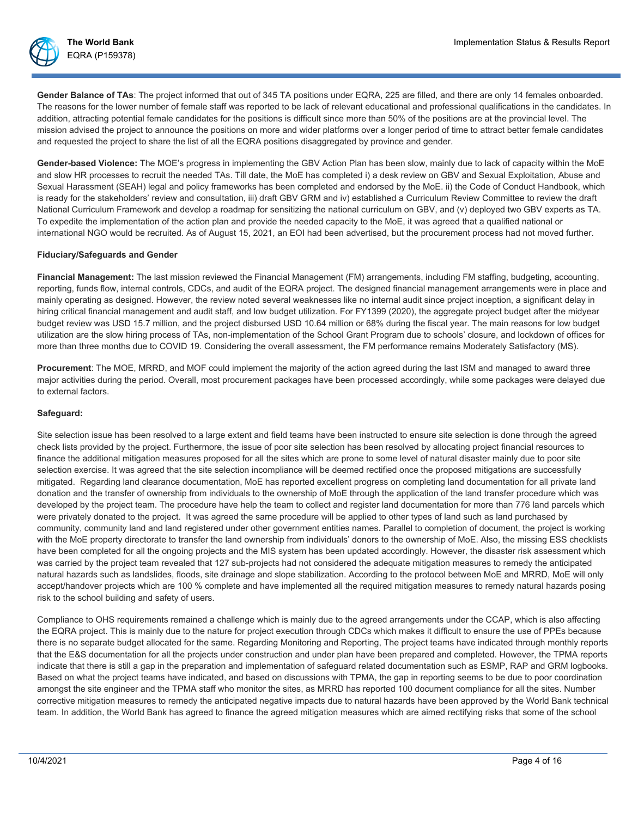

Gender Balance of TAs: The project informed that out of 345 TA positions under EQRA, 225 are filled, and there are only 14 females onboarded. The reasons for the lower number of female staff was reported to be lack of relevant educational and professional qualifications in the candidates. In addition, attracting potential female candidates for the positions is difficult since more than 50% of the positions are at the provincial level. The mission advised the project to announce the positions on more and wider platforms over a longer period of time to attract better female candidates and requested the project to share the list of all the EQRA positions disaggregated by province and gender.

**Gender-based Violence:** The MOE's progress in implementing the GBV Action Plan has been slow, mainly due to lack of capacity within the MoE and slow HR processes to recruit the needed TAs. Till date, the MoE has completed i) a desk review on GBV and Sexual Exploitation, Abuse and Sexual Harassment (SEAH) legal and policy frameworks has been completed and endorsed by the MoE. ii) the Code of Conduct Handbook, which is ready for the stakeholders' review and consultation, iii) draft GBV GRM and iv) established a Curriculum Review Committee to review the draft National Curriculum Framework and develop a roadmap for sensitizing the national curriculum on GBV, and (v) deployed two GBV experts as TA. To expedite the implementation of the action plan and provide the needed capacity to the MoE, it was agreed that a qualified national or international NGO would be recruited. As of August 15, 2021, an EOI had been advertised, but the procurement process had not moved further.

#### **Fiduciary/Safeguards and Gender**

**Financial Management:** The last mission reviewed the Financial Management (FM) arrangements, including FM staffing, budgeting, accounting, reporting, funds flow, internal controls, CDCs, and audit of the EQRA project. The designed financial management arrangements were in place and mainly operating as designed. However, the review noted several weaknesses like no internal audit since project inception, a significant delay in hiring critical financial management and audit staff, and low budget utilization. For FY1399 (2020), the aggregate project budget after the midyear budget review was USD 15.7 million, and the project disbursed USD 10.64 million or 68% during the fiscal year. The main reasons for low budget utilization are the slow hiring process of TAs, non-implementation of the School Grant Program due to schools' closure, and lockdown of offices for more than three months due to COVID 19. Considering the overall assessment, the FM performance remains Moderately Satisfactory (MS).

**Procurement**: The MOE, MRRD, and MOF could implement the majority of the action agreed during the last ISM and managed to award three major activities during the period. Overall, most procurement packages have been processed accordingly, while some packages were delayed due to external factors.

#### **Safeguard:**

Site selection issue has been resolved to a large extent and field teams have been instructed to ensure site selection is done through the agreed check lists provided by the project. Furthermore, the issue of poor site selection has been resolved by allocating project financial resources to finance the additional mitigation measures proposed for all the sites which are prone to some level of natural disaster mainly due to poor site selection exercise. It was agreed that the site selection incompliance will be deemed rectified once the proposed mitigations are successfully mitigated. Regarding land clearance documentation, MoE has reported excellent progress on completing land documentation for all private land donation and the transfer of ownership from individuals to the ownership of MoE through the application of the land transfer procedure which was developed by the project team. The procedure have help the team to collect and register land documentation for more than 776 land parcels which were privately donated to the project. It was agreed the same procedure will be applied to other types of land such as land purchased by community, community land and land registered under other government entities names. Parallel to completion of document, the project is working with the MoE property directorate to transfer the land ownership from individuals' donors to the ownership of MoE. Also, the missing ESS checklists have been completed for all the ongoing projects and the MIS system has been updated accordingly. However, the disaster risk assessment which was carried by the project team revealed that 127 sub-projects had not considered the adequate mitigation measures to remedy the anticipated natural hazards such as landslides, floods, site drainage and slope stabilization. According to the protocol between MoE and MRRD, MoE will only accept/handover projects which are 100 % complete and have implemented all the required mitigation measures to remedy natural hazards posing risk to the school building and safety of users.

Compliance to OHS requirements remained a challenge which is mainly due to the agreed arrangements under the CCAP, which is also affecting the EQRA project. This is mainly due to the nature for project execution through CDCs which makes it difficult to ensure the use of PPEs because there is no separate budget allocated for the same. Regarding Monitoring and Reporting, The project teams have indicated through monthly reports that the E&S documentation for all the projects under construction and under plan have been prepared and completed. However, the TPMA reports indicate that there is still a gap in the preparation and implementation of safeguard related documentation such as ESMP, RAP and GRM logbooks. Based on what the project teams have indicated, and based on discussions with TPMA, the gap in reporting seems to be due to poor coordination amongst the site engineer and the TPMA staff who monitor the sites, as MRRD has reported 100 document compliance for all the sites. Number corrective mitigation measures to remedy the anticipated negative impacts due to natural hazards have been approved by the World Bank technical team. In addition, the World Bank has agreed to finance the agreed mitigation measures which are aimed rectifying risks that some of the school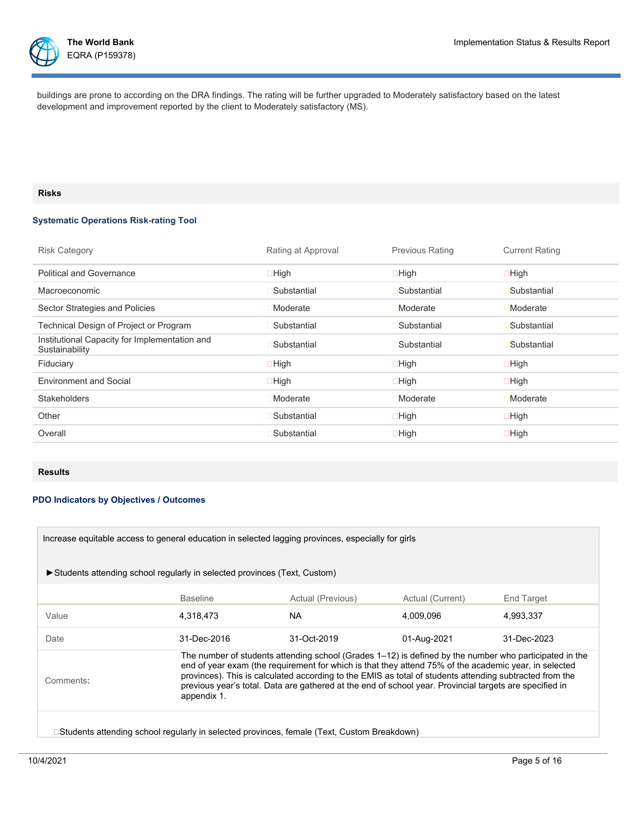

EQRA (P159378)

buildings are prone to according on the DRA findings. The rating will be further upgraded to Moderately satisfactory based on the latest development and improvement reported by the client to Moderately satisfactory (MS).

## **Risks**

## **Systematic Operations Risk-rating Tool**

| <b>Risk Category</b>                                            | Rating at Approval | <b>Previous Rating</b> | <b>Current Rating</b> |
|-----------------------------------------------------------------|--------------------|------------------------|-----------------------|
| <b>Political and Governance</b>                                 | $\Box$ High        | $\Box$ High            | $\Box$ High           |
| <b>Macroeconomic</b>                                            | Substantial        | Substantial            | Substantial           |
| Sector Strategies and Policies                                  | Moderate           | <b>Moderate</b>        | Moderate              |
| Technical Design of Project or Program                          | Substantial        | Substantial            | Substantial           |
| Institutional Capacity for Implementation and<br>Sustainability | Substantial        | Substantial            | Substantial           |
| Fiduciary                                                       | $\Box$ High        | $\Box$ High            | $\Box$ High           |
| <b>Environment and Social</b>                                   | $\Box$ High        | $\Box$ High            | $\Box$ High           |
| <b>Stakeholders</b>                                             | Moderate           | <b>Moderate</b>        | Moderate              |
| Other                                                           | Substantial        | $\Box$ High            | $\Box$ High           |
| Overall                                                         | Substantial        | $\Box$ High            | $\Box$ High           |

## **Results**

## **PDO Indicators by Objectives / Outcomes**

| Increase equitable access to general education in selected lagging provinces, especially for girls                                                                                                                                                                                                                                                                                                                                                                |                                                                          |                   |                  |             |  |
|-------------------------------------------------------------------------------------------------------------------------------------------------------------------------------------------------------------------------------------------------------------------------------------------------------------------------------------------------------------------------------------------------------------------------------------------------------------------|--------------------------------------------------------------------------|-------------------|------------------|-------------|--|
|                                                                                                                                                                                                                                                                                                                                                                                                                                                                   | Students attending school regularly in selected provinces (Text, Custom) |                   |                  |             |  |
|                                                                                                                                                                                                                                                                                                                                                                                                                                                                   | <b>Baseline</b>                                                          | Actual (Previous) | Actual (Current) | End Target  |  |
| Value                                                                                                                                                                                                                                                                                                                                                                                                                                                             | 4,318,473                                                                | NA.               | 4,009,096        | 4,993,337   |  |
| Date                                                                                                                                                                                                                                                                                                                                                                                                                                                              | 31-Dec-2016                                                              | 31-Oct-2019       | 01-Aug-2021      | 31-Dec-2023 |  |
| The number of students attending school (Grades 1–12) is defined by the number who participated in the<br>end of year exam (the requirement for which is that they attend 75% of the academic year, in selected<br>provinces). This is calculated according to the EMIS as total of students attending subtracted from the<br>Comments:<br>previous year's total. Data are gathered at the end of school year. Provincial targets are specified in<br>appendix 1. |                                                                          |                   |                  |             |  |
| □Students attending school regularly in selected provinces, female (Text, Custom Breakdown)                                                                                                                                                                                                                                                                                                                                                                       |                                                                          |                   |                  |             |  |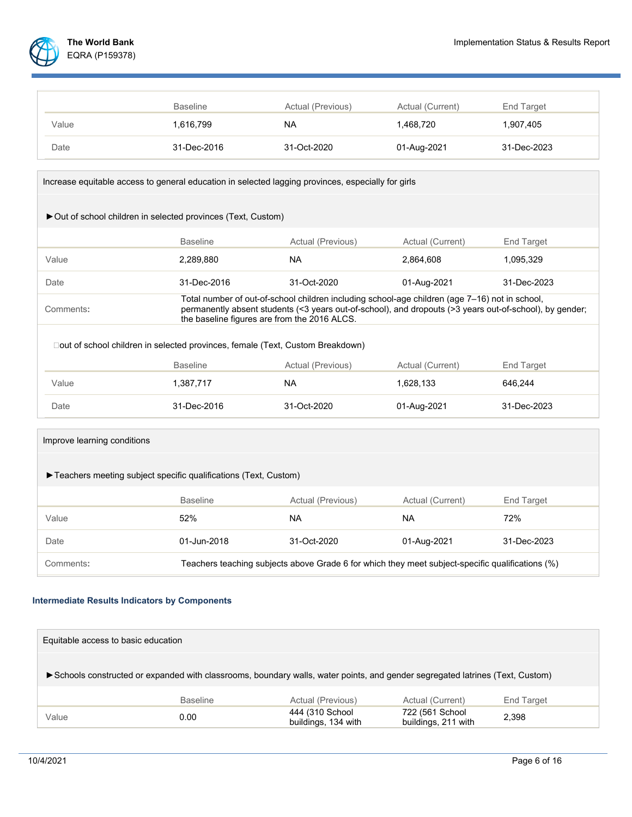

|       | <b>Baseline</b> | Actual (Previous) | Actual (Current) | End Target  |
|-------|-----------------|-------------------|------------------|-------------|
| Value | 1,616,799       | NA.               | 1.468.720        | 1,907,405   |
| Date  | 31-Dec-2016     | 31-Oct-2020       | 01-Aug-2021      | 31-Dec-2023 |

| Increase equitable access to general education in selected lagging provinces, especially for girls |                                              |                                                                                                                                                                                                           |                  |             |  |  |
|----------------------------------------------------------------------------------------------------|----------------------------------------------|-----------------------------------------------------------------------------------------------------------------------------------------------------------------------------------------------------------|------------------|-------------|--|--|
| ► Out of school children in selected provinces (Text, Custom)                                      |                                              |                                                                                                                                                                                                           |                  |             |  |  |
|                                                                                                    | <b>Baseline</b>                              | Actual (Previous)                                                                                                                                                                                         | Actual (Current) | End Target  |  |  |
| Value                                                                                              | 2,289,880                                    | <b>NA</b>                                                                                                                                                                                                 | 2,864,608        | 1,095,329   |  |  |
| Date                                                                                               | 31-Dec-2016                                  | 31-Oct-2020                                                                                                                                                                                               | 01-Aug-2021      | 31-Dec-2023 |  |  |
| Comments:                                                                                          | the baseline figures are from the 2016 ALCS. | Total number of out-of-school children including school-age children (age 7–16) not in school,<br>permanently absent students (<3 years out-of-school), and dropouts (>3 years out-of-school), by gender; |                  |             |  |  |
| □out of school children in selected provinces, female (Text, Custom Breakdown)                     |                                              |                                                                                                                                                                                                           |                  |             |  |  |
|                                                                                                    | <b>Baseline</b>                              | Actual (Previous)                                                                                                                                                                                         | Actual (Current) | End Target  |  |  |
| Value                                                                                              | 1,387,717                                    | <b>NA</b>                                                                                                                                                                                                 | 1,628,133        | 646.244     |  |  |
| Date                                                                                               | 31-Dec-2016                                  | 31-Oct-2020                                                                                                                                                                                               | 01-Aug-2021      | 31-Dec-2023 |  |  |

| Improve learning conditions                                                                                   |                 |                   |                  |             |
|---------------------------------------------------------------------------------------------------------------|-----------------|-------------------|------------------|-------------|
| Teachers meeting subject specific qualifications (Text, Custom)                                               |                 |                   |                  |             |
|                                                                                                               | <b>Baseline</b> | Actual (Previous) | Actual (Current) | End Target  |
| Value                                                                                                         | 52%             | <b>NA</b>         | <b>NA</b>        | 72%         |
| Date                                                                                                          | 01-Jun-2018     | 31-Oct-2020       | 01-Aug-2021      | 31-Dec-2023 |
| Teachers teaching subjects above Grade 6 for which they meet subject-specific qualifications (%)<br>Comments: |                 |                   |                  |             |

# **Intermediate Results Indicators by Components**

| Equitable access to basic education                                                                                            |                 |                                        |                                        |            |
|--------------------------------------------------------------------------------------------------------------------------------|-----------------|----------------------------------------|----------------------------------------|------------|
| ► Schools constructed or expanded with classrooms, boundary walls, water points, and gender segregated latrines (Text, Custom) |                 |                                        |                                        |            |
|                                                                                                                                | <b>Baseline</b> | Actual (Previous)                      | Actual (Current)                       | End Target |
| Value                                                                                                                          | 0.00            | 444 (310 School<br>buildings, 134 with | 722 (561 School<br>buildings, 211 with | 2.398      |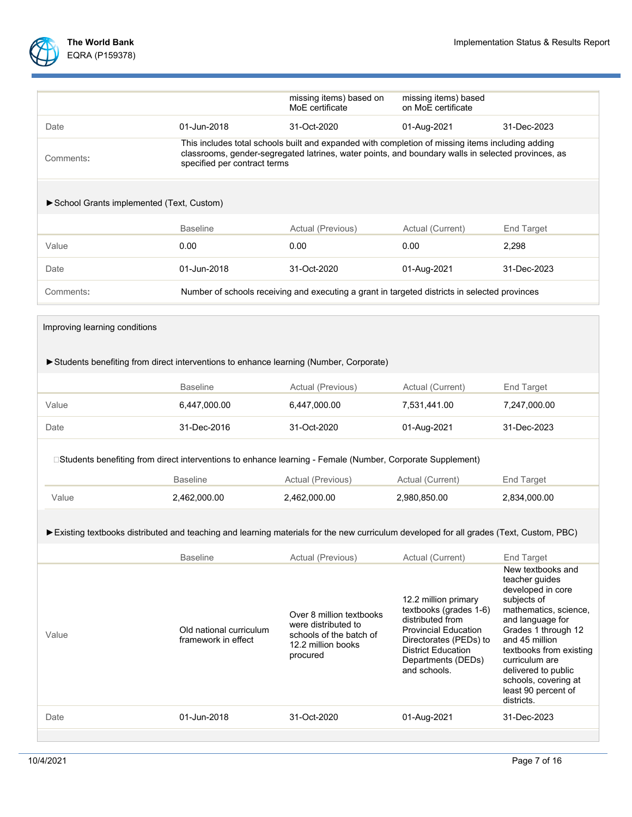

|                               |                                                                                                                                                           | missing items) based on<br>MoE certificate                                                                                                                                                                                             | missing items) based<br>on MoE certificate                                                                                                                                                     |                                                                                                                                                                                                                                                                                                |  |  |
|-------------------------------|-----------------------------------------------------------------------------------------------------------------------------------------------------------|----------------------------------------------------------------------------------------------------------------------------------------------------------------------------------------------------------------------------------------|------------------------------------------------------------------------------------------------------------------------------------------------------------------------------------------------|------------------------------------------------------------------------------------------------------------------------------------------------------------------------------------------------------------------------------------------------------------------------------------------------|--|--|
| Date                          | 01-Jun-2018                                                                                                                                               | 31-Oct-2020                                                                                                                                                                                                                            | 01-Aug-2021                                                                                                                                                                                    | 31-Dec-2023                                                                                                                                                                                                                                                                                    |  |  |
| Comments:                     |                                                                                                                                                           | This includes total schools built and expanded with completion of missing items including adding<br>classrooms, gender-segregated latrines, water points, and boundary walls in selected provinces, as<br>specified per contract terms |                                                                                                                                                                                                |                                                                                                                                                                                                                                                                                                |  |  |
|                               | School Grants implemented (Text, Custom)                                                                                                                  |                                                                                                                                                                                                                                        |                                                                                                                                                                                                |                                                                                                                                                                                                                                                                                                |  |  |
|                               | <b>Baseline</b>                                                                                                                                           | Actual (Previous)                                                                                                                                                                                                                      | Actual (Current)                                                                                                                                                                               | <b>End Target</b>                                                                                                                                                                                                                                                                              |  |  |
| Value                         | 0.00                                                                                                                                                      | 0.00                                                                                                                                                                                                                                   | 0.00                                                                                                                                                                                           | 2,298                                                                                                                                                                                                                                                                                          |  |  |
| Date                          | 01-Jun-2018                                                                                                                                               | 31-Oct-2020                                                                                                                                                                                                                            | 01-Aug-2021                                                                                                                                                                                    | 31-Dec-2023                                                                                                                                                                                                                                                                                    |  |  |
| Comments:                     |                                                                                                                                                           | Number of schools receiving and executing a grant in targeted districts in selected provinces                                                                                                                                          |                                                                                                                                                                                                |                                                                                                                                                                                                                                                                                                |  |  |
| Improving learning conditions |                                                                                                                                                           |                                                                                                                                                                                                                                        |                                                                                                                                                                                                |                                                                                                                                                                                                                                                                                                |  |  |
|                               | Students benefiting from direct interventions to enhance learning (Number, Corporate)                                                                     |                                                                                                                                                                                                                                        |                                                                                                                                                                                                |                                                                                                                                                                                                                                                                                                |  |  |
|                               | <b>Baseline</b>                                                                                                                                           | Actual (Previous)                                                                                                                                                                                                                      | Actual (Current)                                                                                                                                                                               | End Target                                                                                                                                                                                                                                                                                     |  |  |
| Value                         | 6,447,000.00                                                                                                                                              | 6,447,000.00                                                                                                                                                                                                                           | 7,531,441.00                                                                                                                                                                                   | 7,247,000.00                                                                                                                                                                                                                                                                                   |  |  |
| Date                          | 31-Dec-2016                                                                                                                                               | 31-Oct-2020                                                                                                                                                                                                                            | 01-Aug-2021                                                                                                                                                                                    | 31-Dec-2023                                                                                                                                                                                                                                                                                    |  |  |
|                               | □Students benefiting from direct interventions to enhance learning - Female (Number, Corporate Supplement)                                                |                                                                                                                                                                                                                                        |                                                                                                                                                                                                |                                                                                                                                                                                                                                                                                                |  |  |
|                               | <b>Baseline</b>                                                                                                                                           | Actual (Previous)                                                                                                                                                                                                                      | Actual (Current)                                                                                                                                                                               | End Target                                                                                                                                                                                                                                                                                     |  |  |
| Value                         | 2,462,000.00                                                                                                                                              | 2,462,000.00                                                                                                                                                                                                                           | 2,980,850.00                                                                                                                                                                                   | 2,834,000.00                                                                                                                                                                                                                                                                                   |  |  |
|                               | Existing textbooks distributed and teaching and learning materials for the new curriculum developed for all grades (Text, Custom, PBC)<br><b>Baseline</b> | Actual (Previous)                                                                                                                                                                                                                      | Actual (Current)                                                                                                                                                                               | <b>End Target</b>                                                                                                                                                                                                                                                                              |  |  |
| Value                         | Old national curriculum<br>framework in effect                                                                                                            | Over 8 million textbooks<br>were distributed to<br>schools of the batch of<br>12.2 million books<br>procured                                                                                                                           | 12.2 million primary<br>textbooks (grades 1-6)<br>distributed from<br><b>Provincial Education</b><br>Directorates (PEDs) to<br><b>District Education</b><br>Departments (DEDs)<br>and schools. | New textbooks and<br>teacher guides<br>developed in core<br>subjects of<br>mathematics, science,<br>and language for<br>Grades 1 through 12<br>and 45 million<br>textbooks from existing<br>curriculum are<br>delivered to public<br>schools, covering at<br>least 90 percent of<br>districts. |  |  |
| Date                          | 01-Jun-2018                                                                                                                                               | 31-Oct-2020                                                                                                                                                                                                                            | 01-Aug-2021                                                                                                                                                                                    | 31-Dec-2023                                                                                                                                                                                                                                                                                    |  |  |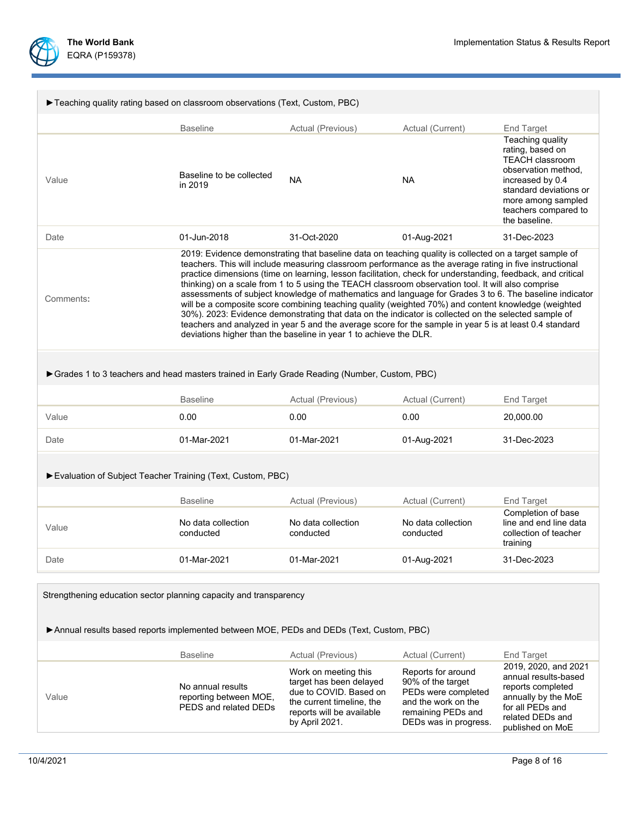

| Teaching quality rating based on classroom observations (Text, Custom, PBC)                                                                                  |                                                                                                                                                                                                                                                                                                                                                                                                                                                                                                                                                                                                                                                                                                                                                                                                                                                                                                                                                 |                                                                                                                                                       |                                                                                                                                      |                                                                                                                                                                                                    |  |  |
|--------------------------------------------------------------------------------------------------------------------------------------------------------------|-------------------------------------------------------------------------------------------------------------------------------------------------------------------------------------------------------------------------------------------------------------------------------------------------------------------------------------------------------------------------------------------------------------------------------------------------------------------------------------------------------------------------------------------------------------------------------------------------------------------------------------------------------------------------------------------------------------------------------------------------------------------------------------------------------------------------------------------------------------------------------------------------------------------------------------------------|-------------------------------------------------------------------------------------------------------------------------------------------------------|--------------------------------------------------------------------------------------------------------------------------------------|----------------------------------------------------------------------------------------------------------------------------------------------------------------------------------------------------|--|--|
|                                                                                                                                                              | <b>Baseline</b>                                                                                                                                                                                                                                                                                                                                                                                                                                                                                                                                                                                                                                                                                                                                                                                                                                                                                                                                 | Actual (Previous)                                                                                                                                     | Actual (Current)                                                                                                                     | End Target                                                                                                                                                                                         |  |  |
| Value                                                                                                                                                        | Baseline to be collected<br>in 2019                                                                                                                                                                                                                                                                                                                                                                                                                                                                                                                                                                                                                                                                                                                                                                                                                                                                                                             | <b>NA</b>                                                                                                                                             | <b>NA</b>                                                                                                                            | Teaching quality<br>rating, based on<br><b>TEACH classroom</b><br>observation method.<br>increased by 0.4<br>standard deviations or<br>more among sampled<br>teachers compared to<br>the baseline. |  |  |
| Date                                                                                                                                                         | 01-Jun-2018                                                                                                                                                                                                                                                                                                                                                                                                                                                                                                                                                                                                                                                                                                                                                                                                                                                                                                                                     | 31-Oct-2020                                                                                                                                           | 01-Aug-2021                                                                                                                          | 31-Dec-2023                                                                                                                                                                                        |  |  |
| Comments:                                                                                                                                                    | 2019: Evidence demonstrating that baseline data on teaching quality is collected on a target sample of<br>teachers. This will include measuring classroom performance as the average rating in five instructional<br>practice dimensions (time on learning, lesson facilitation, check for understanding, feedback, and critical<br>thinking) on a scale from 1 to 5 using the TEACH classroom observation tool. It will also comprise<br>assessments of subject knowledge of mathematics and language for Grades 3 to 6. The baseline indicator<br>will be a composite score combining teaching quality (weighted 70%) and content knowledge (weighted<br>30%). 2023: Evidence demonstrating that data on the indicator is collected on the selected sample of<br>teachers and analyzed in year 5 and the average score for the sample in year 5 is at least 0.4 standard<br>deviations higher than the baseline in year 1 to achieve the DLR. |                                                                                                                                                       |                                                                                                                                      |                                                                                                                                                                                                    |  |  |
| Grades 1 to 3 teachers and head masters trained in Early Grade Reading (Number, Custom, PBC)                                                                 |                                                                                                                                                                                                                                                                                                                                                                                                                                                                                                                                                                                                                                                                                                                                                                                                                                                                                                                                                 |                                                                                                                                                       |                                                                                                                                      |                                                                                                                                                                                                    |  |  |
|                                                                                                                                                              | <b>Baseline</b>                                                                                                                                                                                                                                                                                                                                                                                                                                                                                                                                                                                                                                                                                                                                                                                                                                                                                                                                 | Actual (Previous)                                                                                                                                     | Actual (Current)                                                                                                                     | End Target                                                                                                                                                                                         |  |  |
| Value                                                                                                                                                        | 0.00                                                                                                                                                                                                                                                                                                                                                                                                                                                                                                                                                                                                                                                                                                                                                                                                                                                                                                                                            | 0.00                                                                                                                                                  | 0.00                                                                                                                                 | 20,000.00                                                                                                                                                                                          |  |  |
| Date                                                                                                                                                         | 01-Mar-2021                                                                                                                                                                                                                                                                                                                                                                                                                                                                                                                                                                                                                                                                                                                                                                                                                                                                                                                                     | 01-Mar-2021                                                                                                                                           | 01-Aug-2021                                                                                                                          | 31-Dec-2023                                                                                                                                                                                        |  |  |
| Evaluation of Subject Teacher Training (Text, Custom, PBC)                                                                                                   |                                                                                                                                                                                                                                                                                                                                                                                                                                                                                                                                                                                                                                                                                                                                                                                                                                                                                                                                                 |                                                                                                                                                       |                                                                                                                                      |                                                                                                                                                                                                    |  |  |
|                                                                                                                                                              | <b>Baseline</b>                                                                                                                                                                                                                                                                                                                                                                                                                                                                                                                                                                                                                                                                                                                                                                                                                                                                                                                                 | Actual (Previous)                                                                                                                                     | Actual (Current)                                                                                                                     | End Target                                                                                                                                                                                         |  |  |
| Value                                                                                                                                                        | No data collection<br>conducted                                                                                                                                                                                                                                                                                                                                                                                                                                                                                                                                                                                                                                                                                                                                                                                                                                                                                                                 | No data collection<br>conducted                                                                                                                       | No data collection<br>conducted                                                                                                      | Completion of base<br>line and end line data<br>collection of teacher<br>training                                                                                                                  |  |  |
| Date                                                                                                                                                         | 01-Mar-2021                                                                                                                                                                                                                                                                                                                                                                                                                                                                                                                                                                                                                                                                                                                                                                                                                                                                                                                                     | 01-Mar-2021                                                                                                                                           | 01-Aug-2021                                                                                                                          | 31-Dec-2023                                                                                                                                                                                        |  |  |
| Strengthening education sector planning capacity and transparency<br>Annual results based reports implemented between MOE, PEDs and DEDs (Text, Custom, PBC) |                                                                                                                                                                                                                                                                                                                                                                                                                                                                                                                                                                                                                                                                                                                                                                                                                                                                                                                                                 |                                                                                                                                                       |                                                                                                                                      |                                                                                                                                                                                                    |  |  |
|                                                                                                                                                              | <b>Baseline</b>                                                                                                                                                                                                                                                                                                                                                                                                                                                                                                                                                                                                                                                                                                                                                                                                                                                                                                                                 | Actual (Previous)                                                                                                                                     | Actual (Current)                                                                                                                     | End Target                                                                                                                                                                                         |  |  |
| Value                                                                                                                                                        | No annual results<br>reporting between MOE,<br>PEDS and related DEDs                                                                                                                                                                                                                                                                                                                                                                                                                                                                                                                                                                                                                                                                                                                                                                                                                                                                            | Work on meeting this<br>target has been delayed<br>due to COVID. Based on<br>the current timeline, the<br>reports will be available<br>by April 2021. | Reports for around<br>90% of the target<br>PEDs were completed<br>and the work on the<br>remaining PEDs and<br>DEDs was in progress. | 2019, 2020, and 2021<br>annual results-based<br>reports completed<br>annually by the MoE<br>for all PEDs and<br>related DEDs and<br>nublichad on MoE                                               |  |  |

published on MoE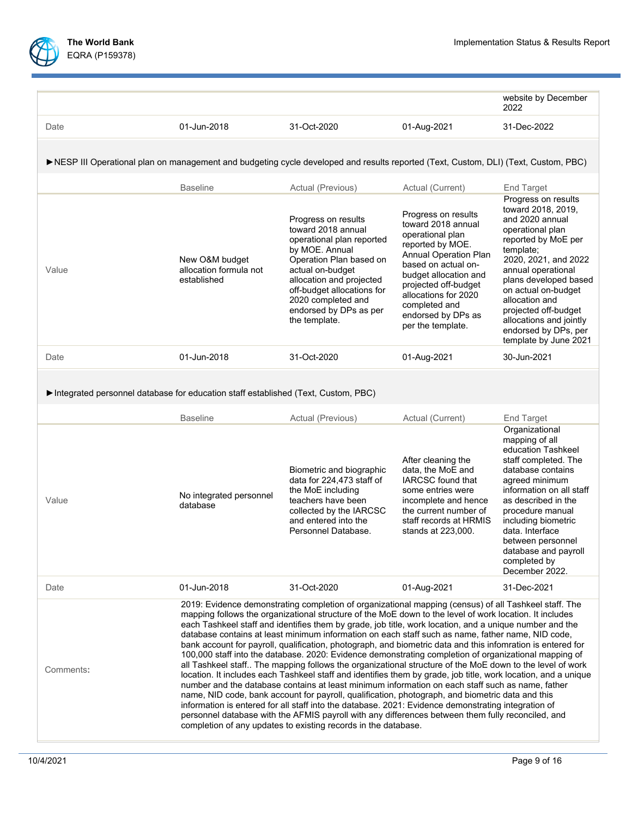

i

|                                                                                                                                     |                                                                                                                                                                                                                                                                                                                                                                                                                                                                                                                                                                                                                                                                                                                                                                                                                                                                                                                                                                                                                                                                                                                                                                                                                                                                                                                                                                              |                                                                                                                                                                                                                                                                    |                                                                                                                                                                                                                                                                        | website by December<br>2022                                                                                                                                                                                                                                                                                                              |  |  |
|-------------------------------------------------------------------------------------------------------------------------------------|------------------------------------------------------------------------------------------------------------------------------------------------------------------------------------------------------------------------------------------------------------------------------------------------------------------------------------------------------------------------------------------------------------------------------------------------------------------------------------------------------------------------------------------------------------------------------------------------------------------------------------------------------------------------------------------------------------------------------------------------------------------------------------------------------------------------------------------------------------------------------------------------------------------------------------------------------------------------------------------------------------------------------------------------------------------------------------------------------------------------------------------------------------------------------------------------------------------------------------------------------------------------------------------------------------------------------------------------------------------------------|--------------------------------------------------------------------------------------------------------------------------------------------------------------------------------------------------------------------------------------------------------------------|------------------------------------------------------------------------------------------------------------------------------------------------------------------------------------------------------------------------------------------------------------------------|------------------------------------------------------------------------------------------------------------------------------------------------------------------------------------------------------------------------------------------------------------------------------------------------------------------------------------------|--|--|
| Date                                                                                                                                | 01-Jun-2018                                                                                                                                                                                                                                                                                                                                                                                                                                                                                                                                                                                                                                                                                                                                                                                                                                                                                                                                                                                                                                                                                                                                                                                                                                                                                                                                                                  | 31-Oct-2020                                                                                                                                                                                                                                                        | 01-Aug-2021                                                                                                                                                                                                                                                            | 31-Dec-2022                                                                                                                                                                                                                                                                                                                              |  |  |
| ▶NESP III Operational plan on management and budgeting cycle developed and results reported (Text, Custom, DLI) (Text, Custom, PBC) |                                                                                                                                                                                                                                                                                                                                                                                                                                                                                                                                                                                                                                                                                                                                                                                                                                                                                                                                                                                                                                                                                                                                                                                                                                                                                                                                                                              |                                                                                                                                                                                                                                                                    |                                                                                                                                                                                                                                                                        |                                                                                                                                                                                                                                                                                                                                          |  |  |
|                                                                                                                                     | <b>Baseline</b>                                                                                                                                                                                                                                                                                                                                                                                                                                                                                                                                                                                                                                                                                                                                                                                                                                                                                                                                                                                                                                                                                                                                                                                                                                                                                                                                                              | Actual (Previous)                                                                                                                                                                                                                                                  | Actual (Current)                                                                                                                                                                                                                                                       | End Target                                                                                                                                                                                                                                                                                                                               |  |  |
| Value                                                                                                                               | New O&M budget<br>allocation formula not<br>established                                                                                                                                                                                                                                                                                                                                                                                                                                                                                                                                                                                                                                                                                                                                                                                                                                                                                                                                                                                                                                                                                                                                                                                                                                                                                                                      | Progress on results<br>toward 2018 annual<br>operational plan reported<br>by MOE. Annual<br>Operation Plan based on<br>actual on-budget<br>allocation and projected<br>off-budget allocations for<br>2020 completed and<br>endorsed by DPs as per<br>the template. | Progress on results<br>toward 2018 annual<br>operational plan<br>reported by MOE.<br>Annual Operation Plan<br>based on actual on-<br>budget allocation and<br>projected off-budget<br>allocations for 2020<br>completed and<br>endorsed by DPs as<br>per the template. | Progress on results<br>toward 2018, 2019,<br>and 2020 annual<br>operational plan<br>reported by MoE per<br>template;<br>2020, 2021, and 2022<br>annual operational<br>plans developed based<br>on actual on-budget<br>allocation and<br>projected off-budget<br>allocations and jointly<br>endorsed by DPs, per<br>template by June 2021 |  |  |
| Date                                                                                                                                | 01-Jun-2018                                                                                                                                                                                                                                                                                                                                                                                                                                                                                                                                                                                                                                                                                                                                                                                                                                                                                                                                                                                                                                                                                                                                                                                                                                                                                                                                                                  | 31-Oct-2020                                                                                                                                                                                                                                                        | 01-Aug-2021                                                                                                                                                                                                                                                            | 30-Jun-2021                                                                                                                                                                                                                                                                                                                              |  |  |
| Integrated personnel database for education staff established (Text, Custom, PBC)                                                   |                                                                                                                                                                                                                                                                                                                                                                                                                                                                                                                                                                                                                                                                                                                                                                                                                                                                                                                                                                                                                                                                                                                                                                                                                                                                                                                                                                              |                                                                                                                                                                                                                                                                    |                                                                                                                                                                                                                                                                        |                                                                                                                                                                                                                                                                                                                                          |  |  |
|                                                                                                                                     | <b>Baseline</b>                                                                                                                                                                                                                                                                                                                                                                                                                                                                                                                                                                                                                                                                                                                                                                                                                                                                                                                                                                                                                                                                                                                                                                                                                                                                                                                                                              | Actual (Previous)                                                                                                                                                                                                                                                  | Actual (Current)                                                                                                                                                                                                                                                       | End Target                                                                                                                                                                                                                                                                                                                               |  |  |
| Value                                                                                                                               | No integrated personnel<br>database                                                                                                                                                                                                                                                                                                                                                                                                                                                                                                                                                                                                                                                                                                                                                                                                                                                                                                                                                                                                                                                                                                                                                                                                                                                                                                                                          | Biometric and biographic<br>data for 224,473 staff of<br>the MoE including<br>teachers have been<br>collected by the IARCSC<br>and entered into the<br>Personnel Database.                                                                                         | After cleaning the<br>data, the MoE and<br><b>IARCSC</b> found that<br>some entries were<br>incomplete and hence<br>the current number of<br>staff records at HRMIS<br>stands at 223,000.                                                                              | Organizational<br>mapping of all<br>education Tashkeel<br>staff completed. The<br>database contains<br>agreed minimum<br>information on all staff<br>as described in the<br>procedure manual<br>including biometric<br>data. Interface<br>between personnel<br>database and payroll<br>completed by<br>December 2022.                    |  |  |
| Date                                                                                                                                | 01-Jun-2018                                                                                                                                                                                                                                                                                                                                                                                                                                                                                                                                                                                                                                                                                                                                                                                                                                                                                                                                                                                                                                                                                                                                                                                                                                                                                                                                                                  | 31-Oct-2020                                                                                                                                                                                                                                                        | 01-Aug-2021                                                                                                                                                                                                                                                            | 31-Dec-2021                                                                                                                                                                                                                                                                                                                              |  |  |
| Comments:                                                                                                                           | 2019: Evidence demonstrating completion of organizational mapping (census) of all Tashkeel staff. The<br>mapping follows the organizational structure of the MoE down to the level of work location. It includes<br>each Tashkeel staff and identifies them by grade, job title, work location, and a unique number and the<br>database contains at least minimum information on each staff such as name, father name, NID code,<br>bank account for payroll, qualification, photograph, and biometric data and this infomration is entered for<br>100,000 staff into the database. 2020: Evidence demonstrating completion of organizational mapping of<br>all Tashkeel staff The mapping follows the organizational structure of the MoE down to the level of work<br>location. It includes each Tashkeel staff and identifies them by grade, job title, work location, and a unique<br>number and the database contains at least minimum information on each staff such as name, father<br>name, NID code, bank account for payroll, qualification, photograph, and biometric data and this<br>information is entered for all staff into the database. 2021: Evidence demonstrating integration of<br>personnel database with the AFMIS payroll with any differences between them fully reconciled, and<br>completion of any updates to existing records in the database. |                                                                                                                                                                                                                                                                    |                                                                                                                                                                                                                                                                        |                                                                                                                                                                                                                                                                                                                                          |  |  |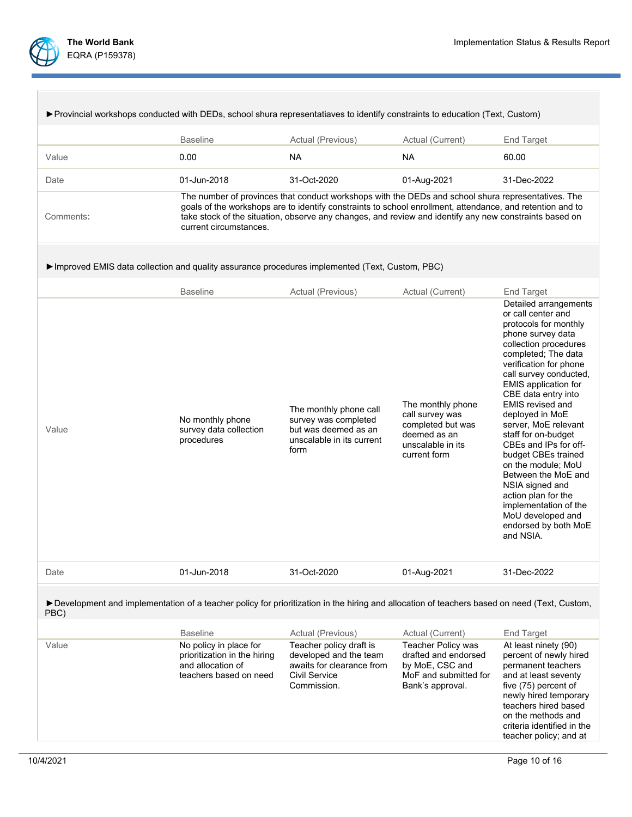

| ► Provincial workshops conducted with DEDs, school shura representatiaves to identify constraints to education (Text, Custom)                         |                                                                                                       |                                                                                                                                                                                                                                                                                                                           |                                                                                                                   |                                                                                                                                                                                                                                                                                                                                                                                                                                                                                                                                                                            |  |
|-------------------------------------------------------------------------------------------------------------------------------------------------------|-------------------------------------------------------------------------------------------------------|---------------------------------------------------------------------------------------------------------------------------------------------------------------------------------------------------------------------------------------------------------------------------------------------------------------------------|-------------------------------------------------------------------------------------------------------------------|----------------------------------------------------------------------------------------------------------------------------------------------------------------------------------------------------------------------------------------------------------------------------------------------------------------------------------------------------------------------------------------------------------------------------------------------------------------------------------------------------------------------------------------------------------------------------|--|
|                                                                                                                                                       | <b>Baseline</b>                                                                                       | Actual (Previous)                                                                                                                                                                                                                                                                                                         | Actual (Current)                                                                                                  | <b>End Target</b>                                                                                                                                                                                                                                                                                                                                                                                                                                                                                                                                                          |  |
| Value                                                                                                                                                 | 0.00                                                                                                  | NA.                                                                                                                                                                                                                                                                                                                       | <b>NA</b>                                                                                                         | 60.00                                                                                                                                                                                                                                                                                                                                                                                                                                                                                                                                                                      |  |
| Date                                                                                                                                                  | 01-Jun-2018                                                                                           | 31-Oct-2020                                                                                                                                                                                                                                                                                                               | 01-Aug-2021                                                                                                       | 31-Dec-2022                                                                                                                                                                                                                                                                                                                                                                                                                                                                                                                                                                |  |
| Comments:                                                                                                                                             | current circumstances.                                                                                | The number of provinces that conduct workshops with the DEDs and school shura representatives. The<br>goals of the workshops are to identify constraints to school enrollment, attendance, and retention and to<br>take stock of the situation, observe any changes, and review and identify any new constraints based on |                                                                                                                   |                                                                                                                                                                                                                                                                                                                                                                                                                                                                                                                                                                            |  |
| Improved EMIS data collection and quality assurance procedures implemented (Text, Custom, PBC)                                                        |                                                                                                       |                                                                                                                                                                                                                                                                                                                           |                                                                                                                   |                                                                                                                                                                                                                                                                                                                                                                                                                                                                                                                                                                            |  |
|                                                                                                                                                       | <b>Baseline</b>                                                                                       | Actual (Previous)                                                                                                                                                                                                                                                                                                         | Actual (Current)                                                                                                  | End Target                                                                                                                                                                                                                                                                                                                                                                                                                                                                                                                                                                 |  |
| Value                                                                                                                                                 | No monthly phone<br>survey data collection<br>procedures                                              | The monthly phone call<br>survey was completed<br>but was deemed as an<br>unscalable in its current<br>form                                                                                                                                                                                                               | The monthly phone<br>call survey was<br>completed but was<br>deemed as an<br>unscalable in its<br>current form    | Detailed arrangements<br>or call center and<br>protocols for monthly<br>phone survey data<br>collection procedures<br>completed; The data<br>verification for phone<br>call survey conducted,<br><b>EMIS</b> application for<br>CBE data entry into<br><b>EMIS</b> revised and<br>deployed in MoE<br>server, MoE relevant<br>staff for on-budget<br>CBEs and IPs for off-<br>budget CBEs trained<br>on the module; MoU<br>Between the MoE and<br>NSIA signed and<br>action plan for the<br>implementation of the<br>MoU developed and<br>endorsed by both MoE<br>and NSIA. |  |
| Date                                                                                                                                                  | 01-Jun-2018                                                                                           | 31-Oct-2020                                                                                                                                                                                                                                                                                                               | 01-Aug-2021                                                                                                       | 31-Dec-2022                                                                                                                                                                                                                                                                                                                                                                                                                                                                                                                                                                |  |
| > Development and implementation of a teacher policy for prioritization in the hiring and allocation of teachers based on need (Text, Custom,<br>PBC) |                                                                                                       |                                                                                                                                                                                                                                                                                                                           |                                                                                                                   |                                                                                                                                                                                                                                                                                                                                                                                                                                                                                                                                                                            |  |
|                                                                                                                                                       | <b>Baseline</b>                                                                                       | Actual (Previous)                                                                                                                                                                                                                                                                                                         | Actual (Current)                                                                                                  | <b>End Target</b>                                                                                                                                                                                                                                                                                                                                                                                                                                                                                                                                                          |  |
| Value                                                                                                                                                 | No policy in place for<br>prioritization in the hiring<br>and allocation of<br>teachers based on need | Teacher policy draft is<br>developed and the team<br>awaits for clearance from<br>Civil Service<br>Commission.                                                                                                                                                                                                            | <b>Teacher Policy was</b><br>drafted and endorsed<br>by MoE, CSC and<br>MoF and submitted for<br>Bank's approval. | At least ninety (90)<br>percent of newly hired<br>permanent teachers<br>and at least seventy<br>five (75) percent of<br>newly hired temporary<br>teachers hired based<br>on the methods and<br>criteria identified in the<br>teacher policy; and at                                                                                                                                                                                                                                                                                                                        |  |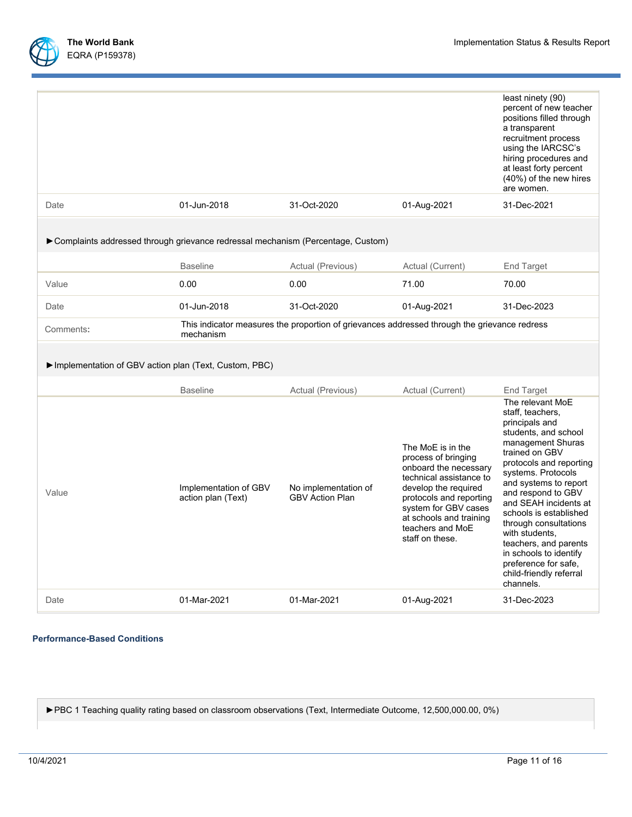

|                                                                                   |                                             |                                                                                              |                                                                                                                                                                                                                                           | least ninety (90)<br>percent of new teacher<br>positions filled through<br>a transparent<br>recruitment process<br>using the IARCSC's<br>hiring procedures and<br>at least forty percent<br>(40%) of the new hires<br>are women.                                                                                                                                                                                                       |
|-----------------------------------------------------------------------------------|---------------------------------------------|----------------------------------------------------------------------------------------------|-------------------------------------------------------------------------------------------------------------------------------------------------------------------------------------------------------------------------------------------|----------------------------------------------------------------------------------------------------------------------------------------------------------------------------------------------------------------------------------------------------------------------------------------------------------------------------------------------------------------------------------------------------------------------------------------|
| Date                                                                              | 01-Jun-2018                                 | 31-Oct-2020                                                                                  | 01-Aug-2021                                                                                                                                                                                                                               | 31-Dec-2021                                                                                                                                                                                                                                                                                                                                                                                                                            |
| ► Complaints addressed through grievance redressal mechanism (Percentage, Custom) |                                             |                                                                                              |                                                                                                                                                                                                                                           |                                                                                                                                                                                                                                                                                                                                                                                                                                        |
|                                                                                   | <b>Baseline</b>                             | Actual (Previous)                                                                            | Actual (Current)                                                                                                                                                                                                                          | <b>End Target</b>                                                                                                                                                                                                                                                                                                                                                                                                                      |
| Value                                                                             | 0.00                                        | 0.00                                                                                         | 71.00                                                                                                                                                                                                                                     | 70.00                                                                                                                                                                                                                                                                                                                                                                                                                                  |
| Date                                                                              | 01-Jun-2018                                 | 31-Oct-2020                                                                                  | 01-Aug-2021                                                                                                                                                                                                                               | 31-Dec-2023                                                                                                                                                                                                                                                                                                                                                                                                                            |
| Comments:                                                                         | mechanism                                   | This indicator measures the proportion of grievances addressed through the grievance redress |                                                                                                                                                                                                                                           |                                                                                                                                                                                                                                                                                                                                                                                                                                        |
| Implementation of GBV action plan (Text, Custom, PBC)                             |                                             |                                                                                              |                                                                                                                                                                                                                                           |                                                                                                                                                                                                                                                                                                                                                                                                                                        |
|                                                                                   | <b>Baseline</b>                             | Actual (Previous)                                                                            | Actual (Current)                                                                                                                                                                                                                          | End Target                                                                                                                                                                                                                                                                                                                                                                                                                             |
| Value                                                                             | Implementation of GBV<br>action plan (Text) | No implementation of<br><b>GBV Action Plan</b>                                               | The MoE is in the<br>process of bringing<br>onboard the necessary<br>technical assistance to<br>develop the required<br>protocols and reporting<br>system for GBV cases<br>at schools and training<br>teachers and MoE<br>staff on these. | The relevant MoE<br>staff, teachers,<br>principals and<br>students, and school<br>management Shuras<br>trained on GBV<br>protocols and reporting<br>systems. Protocols<br>and systems to report<br>and respond to GBV<br>and SEAH incidents at<br>schools is established<br>through consultations<br>with students,<br>teachers, and parents<br>in schools to identify<br>preference for safe.<br>child-friendly referral<br>channels. |
| Date                                                                              | 01-Mar-2021                                 | 01-Mar-2021                                                                                  | 01-Aug-2021                                                                                                                                                                                                                               | 31-Dec-2023                                                                                                                                                                                                                                                                                                                                                                                                                            |

### **Performance-Based Conditions**

►PBC 1 Teaching quality rating based on classroom observations (Text, Intermediate Outcome, 12,500,000.00, 0%)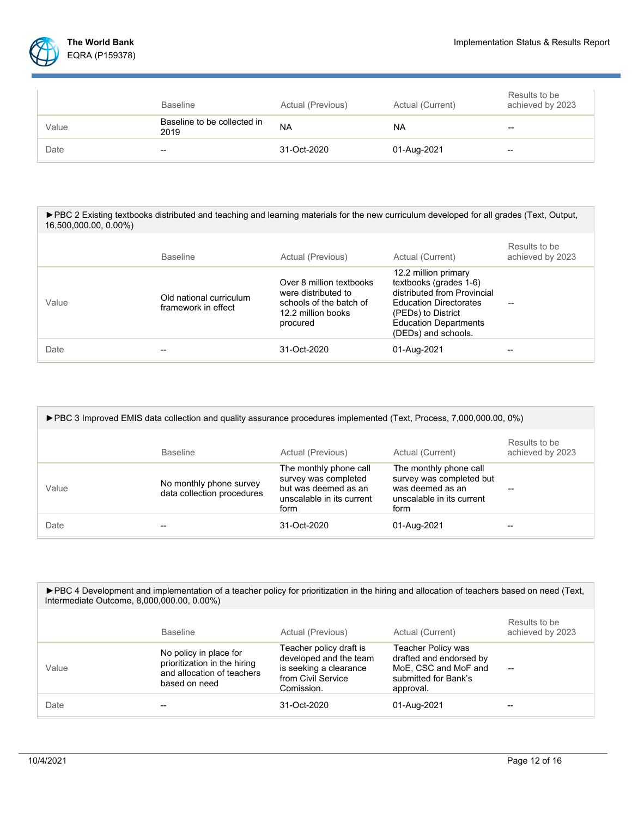|       | <b>Baseline</b>                     | Actual (Previous) | Actual (Current) | Results to be<br>achieved by 2023 |
|-------|-------------------------------------|-------------------|------------------|-----------------------------------|
| Value | Baseline to be collected in<br>2019 | <b>NA</b>         | <b>NA</b>        | --                                |
| Date  | --                                  | 31-Oct-2020       | 01-Aug-2021      | --                                |

| ► PBC 2 Existing textbooks distributed and teaching and learning materials for the new curriculum developed for all grades (Text, Output,<br>16,500,000.00, 0.00%) |                                                |                                                                                                              |                                                                                                                                                                                             |                                   |
|--------------------------------------------------------------------------------------------------------------------------------------------------------------------|------------------------------------------------|--------------------------------------------------------------------------------------------------------------|---------------------------------------------------------------------------------------------------------------------------------------------------------------------------------------------|-----------------------------------|
|                                                                                                                                                                    | <b>Baseline</b>                                | Actual (Previous)                                                                                            | Actual (Current)                                                                                                                                                                            | Results to be<br>achieved by 2023 |
| Value                                                                                                                                                              | Old national curriculum<br>framework in effect | Over 8 million textbooks<br>were distributed to<br>schools of the batch of<br>12.2 million books<br>procured | 12.2 million primary<br>textbooks (grades 1-6)<br>distributed from Provincial<br><b>Education Directorates</b><br>(PEDs) to District<br><b>Education Departments</b><br>(DEDs) and schools. | --                                |
| Date                                                                                                                                                               |                                                | 31-Oct-2020                                                                                                  | 01-Aug-2021                                                                                                                                                                                 |                                   |

| ► PBC 3 Improved EMIS data collection and quality assurance procedures implemented (Text, Process, 7,000,000.00, 0%) |                                                       |                                                                                                             |                                                                                                             |                                   |
|----------------------------------------------------------------------------------------------------------------------|-------------------------------------------------------|-------------------------------------------------------------------------------------------------------------|-------------------------------------------------------------------------------------------------------------|-----------------------------------|
|                                                                                                                      | <b>Baseline</b>                                       | Actual (Previous)                                                                                           | Actual (Current)                                                                                            | Results to be<br>achieved by 2023 |
| Value                                                                                                                | No monthly phone survey<br>data collection procedures | The monthly phone call<br>survey was completed<br>but was deemed as an<br>unscalable in its current<br>form | The monthly phone call<br>survey was completed but<br>was deemed as an<br>unscalable in its current<br>form |                                   |
| Date                                                                                                                 |                                                       | $31 - Oct-2020$                                                                                             | 01-Aug-2021                                                                                                 |                                   |

| ► PBC 4 Development and implementation of a teacher policy for prioritization in the hiring and allocation of teachers based on need (Text,<br>Intermediate Outcome, 8,000,000.00, 0.00%) |                                                                                                       |                                                                                                                 |                                                                                                                   |                                   |
|-------------------------------------------------------------------------------------------------------------------------------------------------------------------------------------------|-------------------------------------------------------------------------------------------------------|-----------------------------------------------------------------------------------------------------------------|-------------------------------------------------------------------------------------------------------------------|-----------------------------------|
|                                                                                                                                                                                           | <b>Baseline</b>                                                                                       | Actual (Previous)                                                                                               | Actual (Current)                                                                                                  | Results to be<br>achieved by 2023 |
| Value                                                                                                                                                                                     | No policy in place for<br>prioritization in the hiring<br>and allocation of teachers<br>based on need | Teacher policy draft is<br>developed and the team<br>is seeking a clearance<br>from Civil Service<br>Comission. | <b>Teacher Policy was</b><br>drafted and endorsed by<br>MoE, CSC and MoF and<br>submitted for Bank's<br>approval. | $- -$                             |
| Date                                                                                                                                                                                      |                                                                                                       | $31 - Oct-2020$                                                                                                 | 01-Aug-2021                                                                                                       |                                   |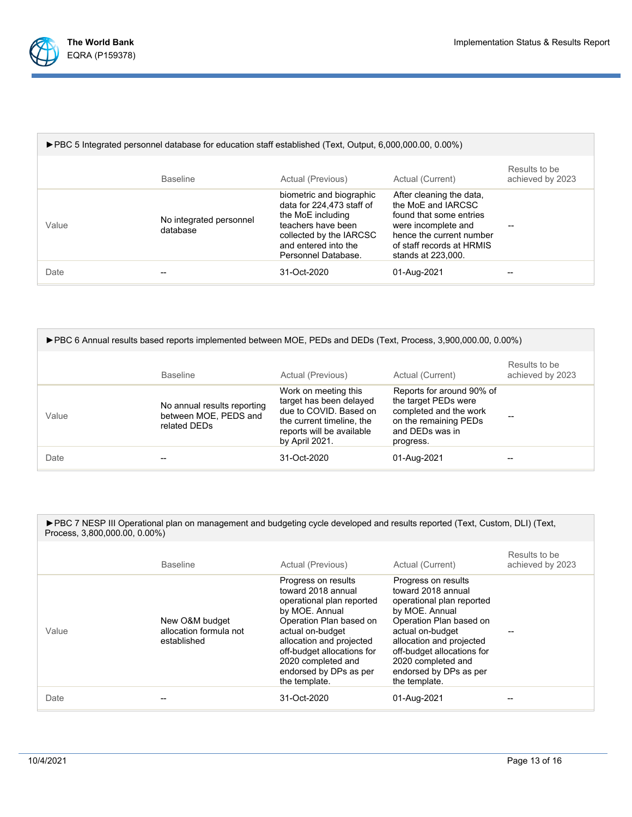

| ► PBC 5 Integrated personnel database for education staff established (Text, Output, 6,000,000.00, 0.00%) |                                     |                                                                                                                                                                            |                                                                                                                                                                                 |                                   |  |
|-----------------------------------------------------------------------------------------------------------|-------------------------------------|----------------------------------------------------------------------------------------------------------------------------------------------------------------------------|---------------------------------------------------------------------------------------------------------------------------------------------------------------------------------|-----------------------------------|--|
|                                                                                                           | <b>Baseline</b>                     | Actual (Previous)                                                                                                                                                          | Actual (Current)                                                                                                                                                                | Results to be<br>achieved by 2023 |  |
| Value                                                                                                     | No integrated personnel<br>database | biometric and biographic<br>data for 224,473 staff of<br>the MoE including<br>teachers have been<br>collected by the IARCSC<br>and entered into the<br>Personnel Database. | After cleaning the data,<br>the MoE and IARCSC<br>found that some entries<br>were incomplete and<br>hence the current number<br>of staff records at HRMIS<br>stands at 223,000. |                                   |  |
| Date                                                                                                      |                                     | 31-Oct-2020                                                                                                                                                                | 01-Aug-2021                                                                                                                                                                     |                                   |  |

| ► PBC 6 Annual results based reports implemented between MOE, PEDs and DEDs (Text, Process, 3,900,000.00, 0.00%) |                                                                      |                                                                                                                                                       |                                                                                                                                      |                                   |
|------------------------------------------------------------------------------------------------------------------|----------------------------------------------------------------------|-------------------------------------------------------------------------------------------------------------------------------------------------------|--------------------------------------------------------------------------------------------------------------------------------------|-----------------------------------|
|                                                                                                                  | <b>Baseline</b>                                                      | Actual (Previous)                                                                                                                                     | Actual (Current)                                                                                                                     | Results to be<br>achieved by 2023 |
| Value                                                                                                            | No annual results reporting<br>between MOE, PEDS and<br>related DEDs | Work on meeting this<br>target has been delayed<br>due to COVID. Based on<br>the current timeline, the<br>reports will be available<br>by April 2021. | Reports for around 90% of<br>the target PEDs were<br>completed and the work<br>on the remaining PEDs<br>and DEDs was in<br>progress. |                                   |
| Date                                                                                                             |                                                                      | 31-Oct-2020                                                                                                                                           | 01-Aug-2021                                                                                                                          |                                   |

| ► PBC 7 NESP III Operational plan on management and budgeting cycle developed and results reported (Text, Custom, DLI) (Text, |
|-------------------------------------------------------------------------------------------------------------------------------|
| Process, 3,800,000.00, 0.00%)                                                                                                 |

|       | <b>Baseline</b>                                         | Actual (Previous)                                                                                                                                                                                                                                                  | Actual (Current)                                                                                                                                                                                                                                                   | Results to be<br>achieved by 2023 |
|-------|---------------------------------------------------------|--------------------------------------------------------------------------------------------------------------------------------------------------------------------------------------------------------------------------------------------------------------------|--------------------------------------------------------------------------------------------------------------------------------------------------------------------------------------------------------------------------------------------------------------------|-----------------------------------|
| Value | New O&M budget<br>allocation formula not<br>established | Progress on results<br>toward 2018 annual<br>operational plan reported<br>by MOE. Annual<br>Operation Plan based on<br>actual on-budget<br>allocation and projected<br>off-budget allocations for<br>2020 completed and<br>endorsed by DPs as per<br>the template. | Progress on results<br>toward 2018 annual<br>operational plan reported<br>by MOE. Annual<br>Operation Plan based on<br>actual on-budget<br>allocation and projected<br>off-budget allocations for<br>2020 completed and<br>endorsed by DPs as per<br>the template. |                                   |
| Date  |                                                         | 31-Oct-2020                                                                                                                                                                                                                                                        | 01-Aug-2021                                                                                                                                                                                                                                                        |                                   |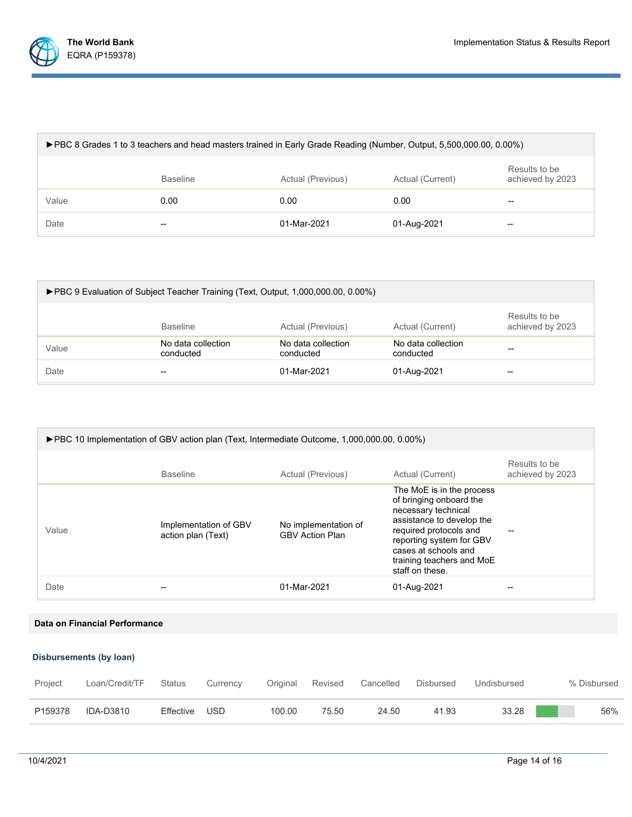

| ► PBC 8 Grades 1 to 3 teachers and head masters trained in Early Grade Reading (Number, Output, 5,500,000.00, 0.00%) |                 |                   |                  |                                   |
|----------------------------------------------------------------------------------------------------------------------|-----------------|-------------------|------------------|-----------------------------------|
|                                                                                                                      | <b>Baseline</b> | Actual (Previous) | Actual (Current) | Results to be<br>achieved by 2023 |
| Value                                                                                                                | 0.00            | 0.00              | 0.00             | $\overline{\phantom{m}}$          |
| Date                                                                                                                 | --              | 01-Mar-2021       | 01-Aug-2021      | --                                |

| ► PBC 9 Evaluation of Subject Teacher Training (Text, Output, 1,000,000.00, 0.00%) |                                 |                                 |                                 |                                   |
|------------------------------------------------------------------------------------|---------------------------------|---------------------------------|---------------------------------|-----------------------------------|
|                                                                                    | <b>Baseline</b>                 | Actual (Previous)               | Actual (Current)                | Results to be<br>achieved by 2023 |
| Value                                                                              | No data collection<br>conducted | No data collection<br>conducted | No data collection<br>conducted | --                                |
| Date                                                                               | --                              | 01-Mar-2021                     | 01-Aug-2021                     | --                                |

| ► PBC 10 Implementation of GBV action plan (Text, Intermediate Outcome, 1,000,000.00, 0.00%) |                                             |                                                |                                                                                                                                                                                                                                        |                                   |  |
|----------------------------------------------------------------------------------------------|---------------------------------------------|------------------------------------------------|----------------------------------------------------------------------------------------------------------------------------------------------------------------------------------------------------------------------------------------|-----------------------------------|--|
|                                                                                              | <b>Baseline</b>                             | Actual (Previous)                              | Actual (Current)                                                                                                                                                                                                                       | Results to be<br>achieved by 2023 |  |
| Value                                                                                        | Implementation of GBV<br>action plan (Text) | No implementation of<br><b>GBV Action Plan</b> | The MoE is in the process<br>of bringing onboard the<br>necessary technical<br>assistance to develop the<br>required protocols and<br>reporting system for GBV<br>cases at schools and<br>training teachers and MoE<br>staff on these. |                                   |  |
| Date                                                                                         | --                                          | 01-Mar-2021                                    | 01-Aug-2021                                                                                                                                                                                                                            |                                   |  |

**Data on Financial Performance**

## **Disbursements (by loan)**

| Project | Loan/Credit/TF | Status    | Currency | Original | Revised | Cancelled | Disbursed | Undisbursed | % Disbursed |
|---------|----------------|-----------|----------|----------|---------|-----------|-----------|-------------|-------------|
| P159378 | IDA-D3810      | Effective | - USD    | 100.00   | 75.50   | 24.50     | 41.93     | 33.28       | 56%         |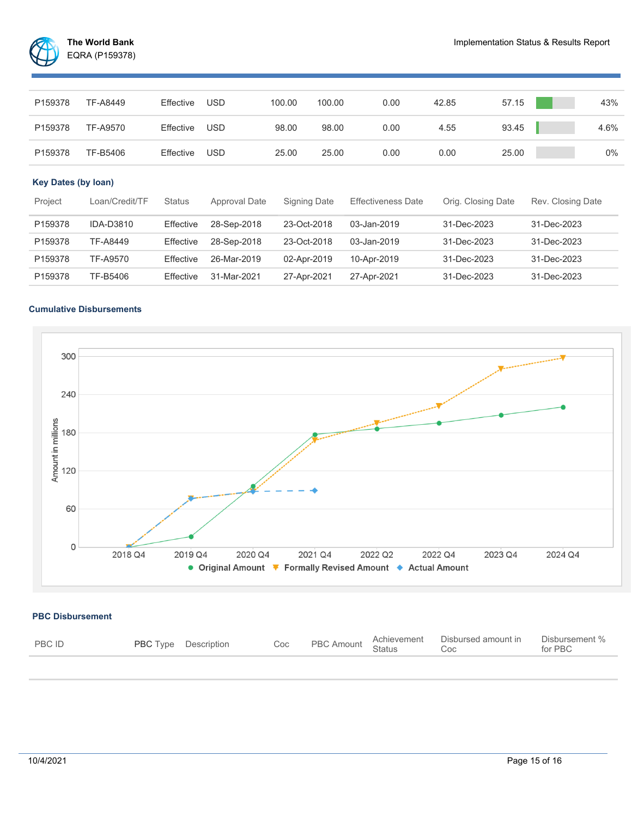

| P159378 | TF-A8449 | Effective | USD        | 100.00 | 100.00 | 0.00 | 42.85 | 57.15 | 43%  |
|---------|----------|-----------|------------|--------|--------|------|-------|-------|------|
| P159378 | TF-A9570 | Effective | USD        | 98.00  | 98.00  | 0.00 | 4.55  | 93.45 | 4.6% |
| P159378 | TF-B5406 | Effective | <b>USD</b> | 25.00  | 25.00  | 0.00 | 0.00  | 25.00 | 0%   |
|         |          |           |            |        |        |      |       |       |      |

# **Key Dates (by loan)**

| Project | Loan/Credit/TF   | <b>Status</b> | Approval Date | Signing Date | <b>Effectiveness Date</b> | Orig. Closing Date | Rev. Closing Date |
|---------|------------------|---------------|---------------|--------------|---------------------------|--------------------|-------------------|
| P159378 | <b>IDA-D3810</b> | Effective     | 28-Sep-2018   | 23-Oct-2018  | 03-Jan-2019               | 31-Dec-2023        | 31-Dec-2023       |
| P159378 | TF-A8449         | Effective     | 28-Sep-2018   | 23-Oct-2018  | 03-Jan-2019               | 31-Dec-2023        | 31-Dec-2023       |
| P159378 | TF-A9570         | Effective     | 26-Mar-2019   | 02-Apr-2019  | 10-Apr-2019               | 31-Dec-2023        | 31-Dec-2023       |
| P159378 | TF-B5406         | Effective     | 31-Mar-2021   | 27-Apr-2021  | 27-Apr-2021               | 31-Dec-2023        | 31-Dec-2023       |

## **Cumulative Disbursements**



### **PBC Disbursement**

| <b>PBC ID</b> | <b>PBC</b> Type Description |  | Coc PBC Amount Achievement Disbursed amount in Disbursed amount Coc | Disbursement % |
|---------------|-----------------------------|--|---------------------------------------------------------------------|----------------|
|               |                             |  |                                                                     |                |